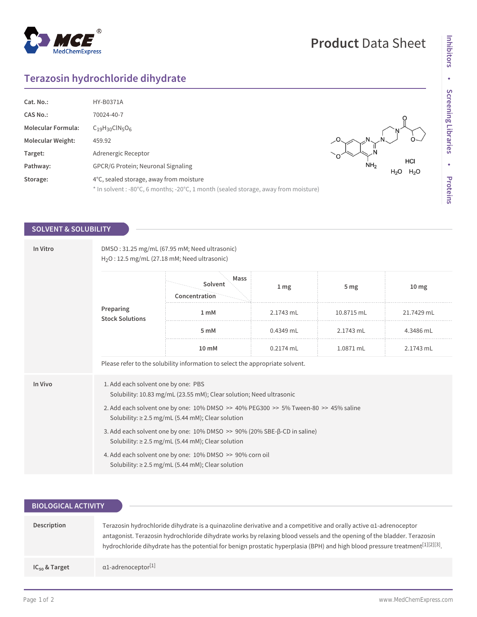## $^{\circledR}$ MedChemExpress

## **Product** Data Sheet

# Inhibitors **Inhibitors** • Screening Libraries **Screening Libraries • Proteins**

## **Terazosin hydrochloride dihydrate**

| Cat. No.:                 | <b>HY-B0371A</b>                                                                    |                                     |                         |
|---------------------------|-------------------------------------------------------------------------------------|-------------------------------------|-------------------------|
| <b>CAS No.:</b>           | 70024-40-7                                                                          |                                     |                         |
| <b>Molecular Formula:</b> | $C_{19}H_{30}CIN_{5}O_{6}$                                                          |                                     |                         |
| <b>Molecular Weight:</b>  | 459.92                                                                              |                                     |                         |
| Target:                   | Adrenergic Receptor                                                                 |                                     |                         |
| Pathway:                  | <b>GPCR/G Protein: Neuronal Signaling</b>                                           | NH <sub>2</sub><br>H <sub>2</sub> O | HCI<br>H <sub>2</sub> O |
| Storage:                  | 4°C, sealed storage, away from moisture                                             |                                     |                         |
|                           | * In solvent : -80°C, 6 months; -20°C, 1 month (sealed storage, away from moisture) |                                     |                         |

### **SOLVENT & SOLUBILITY**

| In Vitro | DMSO: 31.25 mg/mL (67.95 mM; Need ultrasonic)<br>$H2O$ : 12.5 mg/mL (27.18 mM; Need ultrasonic)                                               |                                                                                                                    |                 |                 |                  |  |
|----------|-----------------------------------------------------------------------------------------------------------------------------------------------|--------------------------------------------------------------------------------------------------------------------|-----------------|-----------------|------------------|--|
|          | Preparing<br><b>Stock Solutions</b>                                                                                                           | Mass<br>Solvent<br>Concentration                                                                                   | 1 <sub>mg</sub> | 5 <sub>mg</sub> | 10 <sub>mg</sub> |  |
|          |                                                                                                                                               | 1 <sub>m</sub> M                                                                                                   | 2.1743 mL       | 10.8715 mL      | 21.7429 mL       |  |
|          |                                                                                                                                               | 5 mM                                                                                                               | 0.4349 mL       | 2.1743 mL       | 4.3486 mL        |  |
|          |                                                                                                                                               | 10 mM                                                                                                              | $0.2174$ mL     | 1.0871 mL       | 2.1743 mL        |  |
|          |                                                                                                                                               | Please refer to the solubility information to select the appropriate solvent.                                      |                 |                 |                  |  |
| In Vivo  | 1. Add each solvent one by one: PBS<br>Solubility: 10.83 mg/mL (23.55 mM); Clear solution; Need ultrasonic                                    |                                                                                                                    |                 |                 |                  |  |
|          | 2. Add each solvent one by one: 10% DMSO >> 40% PEG300 >> 5% Tween-80 >> 45% saline<br>Solubility: $\geq$ 2.5 mg/mL (5.44 mM); Clear solution |                                                                                                                    |                 |                 |                  |  |
|          | 3. Add each solvent one by one: 10% DMSO >> 90% (20% SBE-β-CD in saline)<br>Solubility: $\geq$ 2.5 mg/mL (5.44 mM); Clear solution            |                                                                                                                    |                 |                 |                  |  |
|          |                                                                                                                                               | 4. Add each solvent one by one: 10% DMSO >> 90% corn oil<br>Solubility: $\geq$ 2.5 mg/mL (5.44 mM); Clear solution |                 |                 |                  |  |

| <b>BIOLOGICAL ACTIVITY</b> |                                                                                                                                                                                                                                                                                                                                                                                                   |
|----------------------------|---------------------------------------------------------------------------------------------------------------------------------------------------------------------------------------------------------------------------------------------------------------------------------------------------------------------------------------------------------------------------------------------------|
| Description                | Terazosin hydrochloride dihydrate is a quinazoline derivative and a competitive and orally active $\alpha$ 1-adrenoceptor<br>antagonist. Terazosin hydrochloride dihydrate works by relaxing blood vessels and the opening of the bladder. Terazosin<br>hydrochloride dihydrate has the potential for benign prostatic hyperplasia (BPH) and high blood pressure treatment <sup>[1][2][3]</sup> . |
| $IC_{50}$ & Target         | $\alpha$ 1-adrenoceptor <sup>[1]</sup>                                                                                                                                                                                                                                                                                                                                                            |